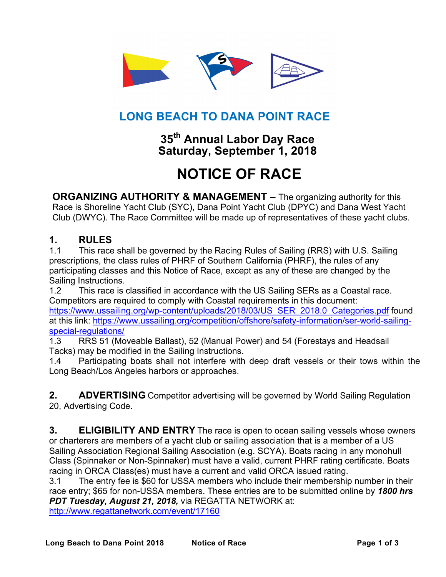

# **LONG BEACH TO DANA POINT RACE**

# **35th Annual Labor Day Race Saturday, September 1, 2018**

# **NOTICE OF RACE**

**ORGANIZING AUTHORITY & MANAGEMENT** – The organizing authority for this Race is Shoreline Yacht Club (SYC), Dana Point Yacht Club (DPYC) and Dana West Yacht Club (DWYC). The Race Committee will be made up of representatives of these yacht clubs.

#### **1. RULES**

1.1 This race shall be governed by the Racing Rules of Sailing (RRS) with U.S. Sailing prescriptions, the class rules of PHRF of Southern California (PHRF), the rules of any participating classes and this Notice of Race, except as any of these are changed by the Sailing Instructions.

1.2 This race is classified in accordance with the US Sailing SERs as a Coastal race. Competitors are required to comply with Coastal requirements in this document: https://www.ussailing.org/wp-content/uploads/2018/03/US\_SER\_2018.0\_Categories.pdf found at this link: https://www.ussailing.org/competition/offshore/safety-information/ser-world-sailingspecial-regulations/

1.3 RRS 51 (Moveable Ballast), 52 (Manual Power) and 54 (Forestays and Headsail Tacks) may be modified in the Sailing Instructions.

1.4 Participating boats shall not interfere with deep draft vessels or their tows within the Long Beach/Los Angeles harbors or approaches.

**2. ADVERTISING** Competitor advertising will be governed by World Sailing Regulation 20, Advertising Code.

**3. ELIGIBILITY AND ENTRY** The race is open to ocean sailing vessels whose owners or charterers are members of a yacht club or sailing association that is a member of a US Sailing Association Regional Sailing Association (e.g. SCYA). Boats racing in any monohull Class (Spinnaker or Non-Spinnaker) must have a valid, current PHRF rating certificate. Boats racing in ORCA Class(es) must have a current and valid ORCA issued rating.

3.1 The entry fee is \$60 for USSA members who include their membership number in their race entry; \$65 for non-USSA members. These entries are to be submitted online by *1800 hrs PDT Tuesday, August 21, 2018,* via REGATTA NETWORK at:

http://www.regattanetwork.com/event/17160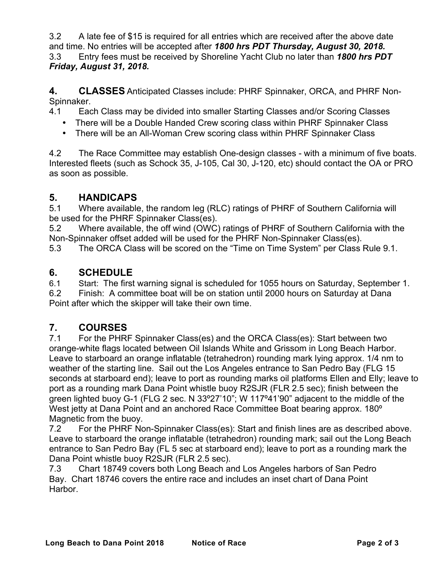3.2 A late fee of \$15 is required for all entries which are received after the above date and time. No entries will be accepted after *1800 hrs PDT Thursday, August 30, 2018.* 3.3 Entry fees must be received by Shoreline Yacht Club no later than *1800 hrs PDT Friday, August 31, 2018.*

**4. CLASSES** Anticipated Classes include: PHRF Spinnaker, ORCA, and PHRF Non-Spinnaker.

4.1 Each Class may be divided into smaller Starting Classes and/or Scoring Classes

- There will be a Double Handed Crew scoring class within PHRF Spinnaker Class
- There will be an All-Woman Crew scoring class within PHRF Spinnaker Class

4.2 The Race Committee may establish One-design classes - with a minimum of five boats. Interested fleets (such as Schock 35, J-105, Cal 30, J-120, etc) should contact the OA or PRO as soon as possible.

# **5. HANDICAPS**

5.1 Where available, the random leg (RLC) ratings of PHRF of Southern California will be used for the PHRF Spinnaker Class(es).

5.2 Where available, the off wind (OWC) ratings of PHRF of Southern California with the Non-Spinnaker offset added will be used for the PHRF Non-Spinnaker Class(es).

5.3 The ORCA Class will be scored on the "Time on Time System" per Class Rule 9.1.

#### **6. SCHEDULE**

6.1 Start: The first warning signal is scheduled for 1055 hours on Saturday, September 1. 6.2 Finish: A committee boat will be on station until 2000 hours on Saturday at Dana

Point after which the skipper will take their own time.

# **7. COURSES**

7.1 For the PHRF Spinnaker Class(es) and the ORCA Class(es): Start between two orange-white flags located between Oil Islands White and Grissom in Long Beach Harbor. Leave to starboard an orange inflatable (tetrahedron) rounding mark lying approx. 1/4 nm to weather of the starting line. Sail out the Los Angeles entrance to San Pedro Bay (FLG 15 seconds at starboard end); leave to port as rounding marks oil platforms Ellen and Elly; leave to port as a rounding mark Dana Point whistle buoy R2SJR (FLR 2.5 sec); finish between the green lighted buoy G-1 (FLG 2 sec. N 33º27'10"; W 117º41'90" adjacent to the middle of the West jetty at Dana Point and an anchored Race Committee Boat bearing approx. 180<sup>°</sup> Magnetic from the buoy.

7.2 For the PHRF Non-Spinnaker Class(es): Start and finish lines are as described above. Leave to starboard the orange inflatable (tetrahedron) rounding mark; sail out the Long Beach entrance to San Pedro Bay (FL 5 sec at starboard end); leave to port as a rounding mark the Dana Point whistle buoy R2SJR (FLR 2.5 sec).

7.3 Chart 18749 covers both Long Beach and Los Angeles harbors of San Pedro Bay. Chart 18746 covers the entire race and includes an inset chart of Dana Point **Harbor**